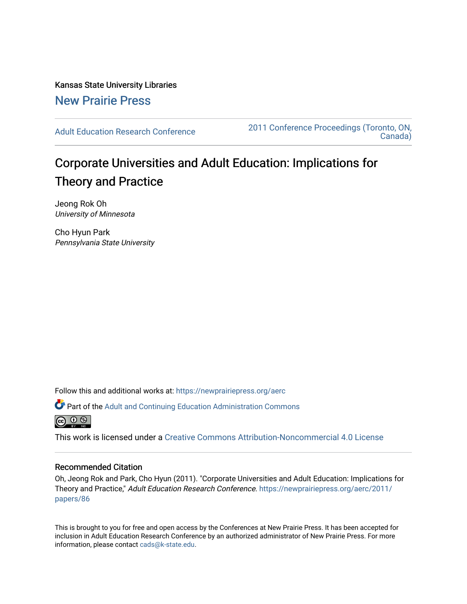Kansas State University Libraries [New Prairie Press](https://newprairiepress.org/) 

[Adult Education Research Conference](https://newprairiepress.org/aerc) [2011 Conference Proceedings \(Toronto, ON,](https://newprairiepress.org/aerc/2011)  [Canada\)](https://newprairiepress.org/aerc/2011) 

# Corporate Universities and Adult Education: Implications for Theory and Practice

Jeong Rok Oh University of Minnesota

Cho Hyun Park Pennsylvania State University

Follow this and additional works at: [https://newprairiepress.org/aerc](https://newprairiepress.org/aerc?utm_source=newprairiepress.org%2Faerc%2F2011%2Fpapers%2F86&utm_medium=PDF&utm_campaign=PDFCoverPages)

Part of the [Adult and Continuing Education Administration Commons](http://network.bepress.com/hgg/discipline/789?utm_source=newprairiepress.org%2Faerc%2F2011%2Fpapers%2F86&utm_medium=PDF&utm_campaign=PDFCoverPages)



This work is licensed under a [Creative Commons Attribution-Noncommercial 4.0 License](https://creativecommons.org/licenses/by-nc/4.0/)

## Recommended Citation

Oh, Jeong Rok and Park, Cho Hyun (2011). "Corporate Universities and Adult Education: Implications for Theory and Practice," Adult Education Research Conference. [https://newprairiepress.org/aerc/2011/](https://newprairiepress.org/aerc/2011/papers/86) [papers/86](https://newprairiepress.org/aerc/2011/papers/86) 

This is brought to you for free and open access by the Conferences at New Prairie Press. It has been accepted for inclusion in Adult Education Research Conference by an authorized administrator of New Prairie Press. For more information, please contact [cads@k-state.edu](mailto:cads@k-state.edu).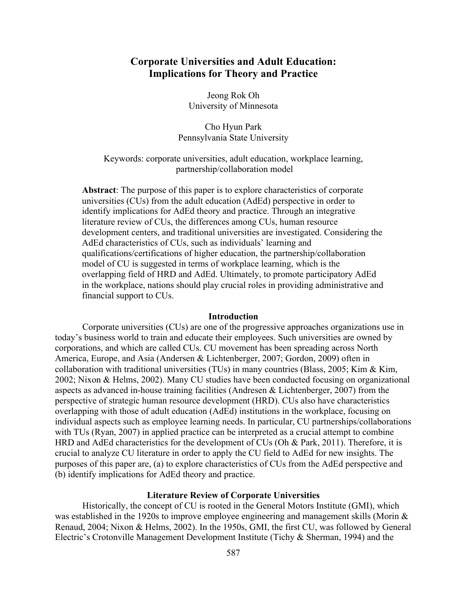# **Corporate Universities and Adult Education: Implications for Theory and Practice**

Jeong Rok Oh University of Minnesota

Cho Hyun Park Pennsylvania State University

Keywords: corporate universities, adult education, workplace learning, partnership/collaboration model

**Abstract**: The purpose of this paper is to explore characteristics of corporate universities (CUs) from the adult education (AdEd) perspective in order to identify implications for AdEd theory and practice. Through an integrative literature review of CUs, the differences among CUs, human resource development centers, and traditional universities are investigated. Considering the AdEd characteristics of CUs, such as individuals' learning and qualifications/certifications of higher education, the partnership/collaboration model of CU is suggested in terms of workplace learning, which is the overlapping field of HRD and AdEd. Ultimately, to promote participatory AdEd in the workplace, nations should play crucial roles in providing administrative and financial support to CUs.

#### **Introduction**

Corporate universities (CUs) are one of the progressive approaches organizations use in today's business world to train and educate their employees. Such universities are owned by corporations, and which are called CUs. CU movement has been spreading across North America, Europe, and Asia (Andersen & Lichtenberger, 2007; Gordon, 2009) often in collaboration with traditional universities (TUs) in many countries (Blass, 2005; Kim & Kim, 2002; Nixon & Helms, 2002). Many CU studies have been conducted focusing on organizational aspects as advanced in-house training facilities (Andresen & Lichtenberger, 2007) from the perspective of strategic human resource development (HRD). CUs also have characteristics overlapping with those of adult education (AdEd) institutions in the workplace, focusing on individual aspects such as employee learning needs. In particular, CU partnerships/collaborations with TUs (Ryan, 2007) in applied practice can be interpreted as a crucial attempt to combine HRD and AdEd characteristics for the development of CUs (Oh & Park, 2011). Therefore, it is crucial to analyze CU literature in order to apply the CU field to AdEd for new insights. The purposes of this paper are, (a) to explore characteristics of CUs from the AdEd perspective and (b) identify implications for AdEd theory and practice.

#### **Literature Review of Corporate Universities**

Historically, the concept of CU is rooted in the General Motors Institute (GMI), which was established in the 1920s to improve employee engineering and management skills (Morin & Renaud, 2004; Nixon & Helms, 2002). In the 1950s, GMI, the first CU, was followed by General Electric's Crotonville Management Development Institute (Tichy & Sherman, 1994) and the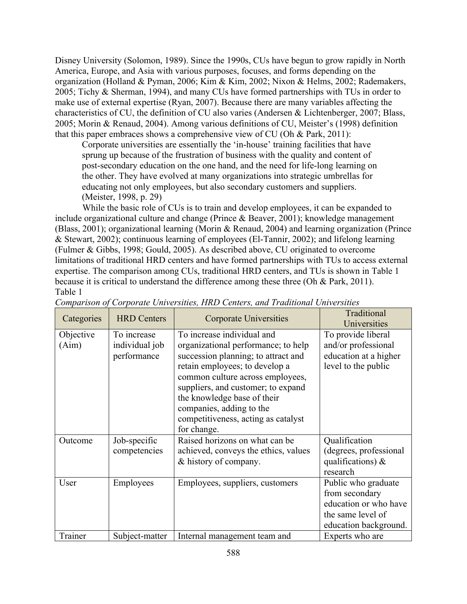Disney University (Solomon, 1989). Since the 1990s, CUs have begun to grow rapidly in North America, Europe, and Asia with various purposes, focuses, and forms depending on the organization (Holland & Pyman, 2006; Kim & Kim, 2002; Nixon & Helms, 2002; Rademakers, 2005; Tichy & Sherman, 1994), and many CUs have formed partnerships with TUs in order to make use of external expertise (Ryan, 2007). Because there are many variables affecting the characteristics of CU, the definition of CU also varies (Andersen & Lichtenberger, 2007; Blass, 2005; Morin & Renaud, 2004). Among various definitions of CU, Meister's (1998) definition that this paper embraces shows a comprehensive view of CU (Oh & Park, 2011):

Corporate universities are essentially the 'in-house' training facilities that have sprung up because of the frustration of business with the quality and content of post-secondary education on the one hand, and the need for life-long learning on the other. They have evolved at many organizations into strategic umbrellas for educating not only employees, but also secondary customers and suppliers. (Meister, 1998, p. 29)

While the basic role of CUs is to train and develop employees, it can be expanded to include organizational culture and change (Prince & Beaver, 2001); knowledge management (Blass, 2001); organizational learning (Morin & Renaud, 2004) and learning organization (Prince & Stewart, 2002); continuous learning of employees (El-Tannir, 2002); and lifelong learning (Fulmer & Gibbs, 1998; Gould, 2005). As described above, CU originated to overcome limitations of traditional HRD centers and have formed partnerships with TUs to access external expertise. The comparison among CUs, traditional HRD centers, and TUs is shown in Table 1 because it is critical to understand the difference among these three (Oh & Park, 2011). Table 1

| Categories         | <b>HRD</b> Centers                           | <b>Corporate Universities</b>                                                                                                                                                                                                                                                                                                         | Traditional                                                                                                  |
|--------------------|----------------------------------------------|---------------------------------------------------------------------------------------------------------------------------------------------------------------------------------------------------------------------------------------------------------------------------------------------------------------------------------------|--------------------------------------------------------------------------------------------------------------|
|                    |                                              |                                                                                                                                                                                                                                                                                                                                       | Universities                                                                                                 |
| Objective<br>(Aim) | To increase<br>individual job<br>performance | To increase individual and<br>organizational performance; to help<br>succession planning; to attract and<br>retain employees; to develop a<br>common culture across employees,<br>suppliers, and customer; to expand<br>the knowledge base of their<br>companies, adding to the<br>competitiveness, acting as catalyst<br>for change. | To provide liberal<br>and/or professional<br>education at a higher<br>level to the public                    |
| Outcome            | Job-specific<br>competencies                 | Raised horizons on what can be<br>achieved, conveys the ethics, values<br>& history of company.                                                                                                                                                                                                                                       | Qualification<br>(degrees, professional<br>qualifications) $\&$<br>research                                  |
| User               | Employees                                    | Employees, suppliers, customers                                                                                                                                                                                                                                                                                                       | Public who graduate<br>from secondary<br>education or who have<br>the same level of<br>education background. |
| Trainer            | Subject-matter                               | Internal management team and                                                                                                                                                                                                                                                                                                          | Experts who are                                                                                              |

*Comparison of Corporate Universities, HRD Centers, and Traditional Universities*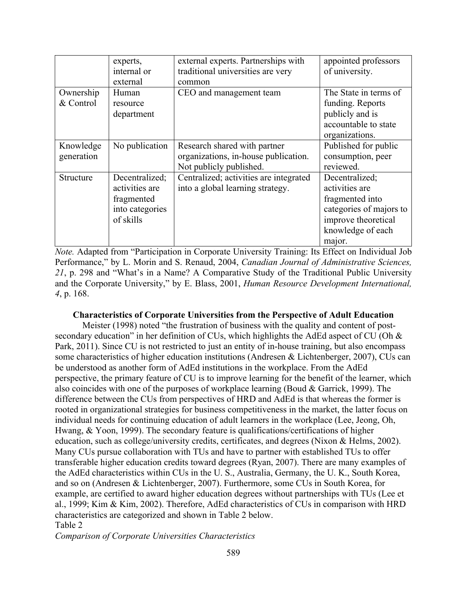|            | experts,<br>internal or | external experts. Partnerships with<br>traditional universities are very | appointed professors<br>of university. |
|------------|-------------------------|--------------------------------------------------------------------------|----------------------------------------|
|            | external                | common                                                                   |                                        |
| Ownership  | Human                   | CEO and management team                                                  | The State in terms of                  |
| & Control  | resource                |                                                                          | funding. Reports                       |
|            | department              |                                                                          | publicly and is                        |
|            |                         |                                                                          | accountable to state                   |
|            |                         |                                                                          | organizations.                         |
| Knowledge  | No publication          | Research shared with partner                                             | Published for public                   |
| generation |                         | organizations, in-house publication.                                     | consumption, peer                      |
|            |                         | Not publicly published.                                                  | reviewed.                              |
| Structure  | Decentralized;          | Centralized; activities are integrated                                   | Decentralized;                         |
|            | activities are          | into a global learning strategy.                                         | activities are                         |
|            | fragmented              |                                                                          | fragmented into                        |
|            | into categories         |                                                                          | categories of majors to                |
|            | of skills               |                                                                          | improve theoretical                    |
|            |                         |                                                                          | knowledge of each                      |
|            |                         |                                                                          | major.                                 |

*Note.* Adapted from "Participation in Corporate University Training: Its Effect on Individual Job Performance," by L. Morin and S. Renaud, 2004, *Canadian Journal of Administrative Sciences, 21*, p. 298 and "What's in a Name? A Comparative Study of the Traditional Public University and the Corporate University," by E. Blass, 2001, *Human Resource Development International, 4*, p. 168.

## **Characteristics of Corporate Universities from the Perspective of Adult Education**

Meister (1998) noted "the frustration of business with the quality and content of postsecondary education" in her definition of CUs, which highlights the AdEd aspect of CU (Oh & Park, 2011). Since CU is not restricted to just an entity of in-house training, but also encompass some characteristics of higher education institutions (Andresen & Lichtenberger, 2007), CUs can be understood as another form of AdEd institutions in the workplace. From the AdEd perspective, the primary feature of CU is to improve learning for the benefit of the learner, which also coincides with one of the purposes of workplace learning (Boud & Garrick, 1999). The difference between the CUs from perspectives of HRD and AdEd is that whereas the former is rooted in organizational strategies for business competitiveness in the market, the latter focus on individual needs for continuing education of adult learners in the workplace (Lee, Jeong, Oh, Hwang, & Yoon, 1999). The secondary feature is qualifications/certifications of higher education, such as college/university credits, certificates, and degrees (Nixon & Helms, 2002). Many CUs pursue collaboration with TUs and have to partner with established TUs to offer transferable higher education credits toward degrees (Ryan, 2007). There are many examples of the AdEd characteristics within CUs in the U. S., Australia, Germany, the U. K., South Korea, and so on (Andresen & Lichtenberger, 2007). Furthermore, some CUs in South Korea, for example, are certified to award higher education degrees without partnerships with TUs (Lee et al., 1999; Kim & Kim, 2002). Therefore, AdEd characteristics of CUs in comparison with HRD characteristics are categorized and shown in Table 2 below. Table 2

*Comparison of Corporate Universities Characteristics*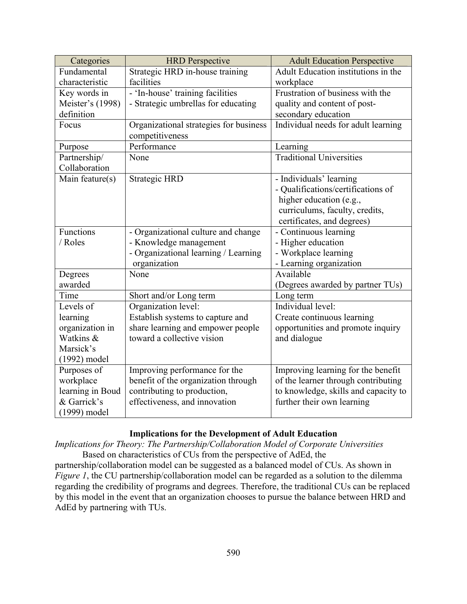| Categories       | <b>HRD</b> Perspective                 | <b>Adult Education Perspective</b>   |
|------------------|----------------------------------------|--------------------------------------|
| Fundamental      | Strategic HRD in-house training        | Adult Education institutions in the  |
| characteristic   | facilities                             | workplace                            |
| Key words in     | - 'In-house' training facilities       | Frustration of business with the     |
| Meister's (1998) | - Strategic umbrellas for educating    | quality and content of post-         |
| definition       |                                        | secondary education                  |
| Focus            | Organizational strategies for business | Individual needs for adult learning  |
|                  | competitiveness                        |                                      |
| Purpose          | Performance                            | Learning                             |
| Partnership/     | None                                   | <b>Traditional Universities</b>      |
| Collaboration    |                                        |                                      |
| Main feature(s)  | <b>Strategic HRD</b>                   | - Individuals' learning              |
|                  |                                        | - Qualifications/certifications of   |
|                  |                                        | higher education (e.g.,              |
|                  |                                        | curriculums, faculty, credits,       |
|                  |                                        | certificates, and degrees)           |
| <b>Functions</b> | - Organizational culture and change    | - Continuous learning                |
| / Roles          | - Knowledge management                 | - Higher education                   |
|                  | - Organizational learning / Learning   | - Workplace learning                 |
|                  | organization                           | - Learning organization              |
| Degrees          | None                                   | Available                            |
| awarded          |                                        | (Degrees awarded by partner TUs)     |
| Time             | Short and/or Long term                 | Long term                            |
| Levels of        | Organization level:                    | Individual level:                    |
| learning         | Establish systems to capture and       | Create continuous learning           |
| organization in  | share learning and empower people      | opportunities and promote inquiry    |
| Watkins &        | toward a collective vision             | and dialogue                         |
| Marsick's        |                                        |                                      |
| $(1992)$ model   |                                        |                                      |
| Purposes of      | Improving performance for the          | Improving learning for the benefit   |
| workplace        | benefit of the organization through    | of the learner through contributing  |
| learning in Boud | contributing to production,            | to knowledge, skills and capacity to |
| & Garrick's      | effectiveness, and innovation          | further their own learning           |
| (1999) model     |                                        |                                      |

## **Implications for the Development of Adult Education**

*Implications for Theory: The Partnership/Collaboration Model of Corporate Universities* Based on characteristics of CUs from the perspective of AdEd, the

partnership/collaboration model can be suggested as a balanced model of CUs. As shown in *Figure 1*, the CU partnership/collaboration model can be regarded as a solution to the dilemma regarding the credibility of programs and degrees. Therefore, the traditional CUs can be replaced by this model in the event that an organization chooses to pursue the balance between HRD and AdEd by partnering with TUs.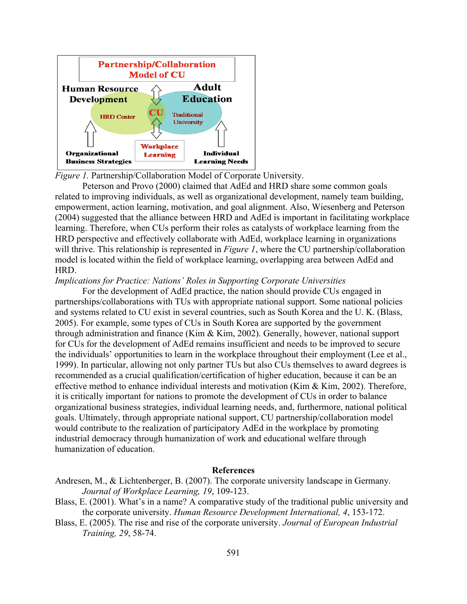

*Figure 1.* Partnership/Collaboration Model of Corporate University.

Peterson and Provo (2000) claimed that AdEd and HRD share some common goals related to improving individuals, as well as organizational development, namely team building, empowerment, action learning, motivation, and goal alignment. Also, Wiesenberg and Peterson (2004) suggested that the alliance between HRD and AdEd is important in facilitating workplace learning. Therefore, when CUs perform their roles as catalysts of workplace learning from the HRD perspective and effectively collaborate with AdEd, workplace learning in organizations will thrive. This relationship is represented in *Figure 1*, where the CU partnership/collaboration model is located within the field of workplace learning, overlapping area between AdEd and HRD.

#### *Implications for Practice: Nations' Roles in Supporting Corporate Universities*

For the development of AdEd practice, the nation should provide CUs engaged in partnerships/collaborations with TUs with appropriate national support. Some national policies and systems related to CU exist in several countries, such as South Korea and the U. K. (Blass, 2005). For example, some types of CUs in South Korea are supported by the government through administration and finance (Kim & Kim, 2002). Generally, however, national support for CUs for the development of AdEd remains insufficient and needs to be improved to secure the individuals' opportunities to learn in the workplace throughout their employment (Lee et al., 1999). In particular, allowing not only partner TUs but also CUs themselves to award degrees is recommended as a crucial qualification/certification of higher education, because it can be an effective method to enhance individual interests and motivation (Kim & Kim, 2002). Therefore, it is critically important for nations to promote the development of CUs in order to balance organizational business strategies, individual learning needs, and, furthermore, national political goals. Ultimately, through appropriate national support, CU partnership/collaboration model would contribute to the realization of participatory AdEd in the workplace by promoting industrial democracy through humanization of work and educational welfare through humanization of education.

#### **References**

- Andresen, M., & Lichtenberger, B. (2007). The corporate university landscape in Germany. *Journal of Workplace Learning, 19*, 109-123.
- Blass, E. (2001). What's in a name? A comparative study of the traditional public university and the corporate university. *Human Resource Development International, 4*, 153-172.
- Blass, E. (2005). The rise and rise of the corporate university. *Journal of European Industrial Training, 29*, 58-74.